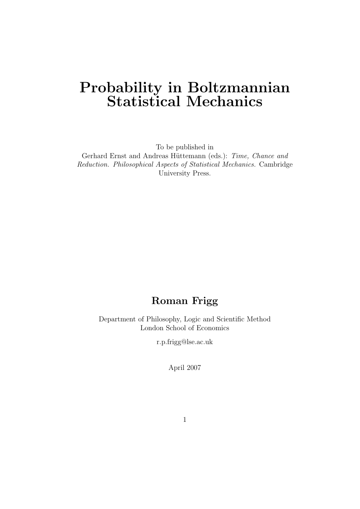# Probability in Boltzmannian Statistical Mechanics

To be published in

Gerhard Ernst and Andreas Hüttemann (eds.): Time, Chance and Reduction. Philosophical Aspects of Statistical Mechanics. Cambridge University Press.

## Roman Frigg

Department of Philosophy, Logic and Scientific Method London School of Economics

r.p.frigg@lse.ac.uk

April 2007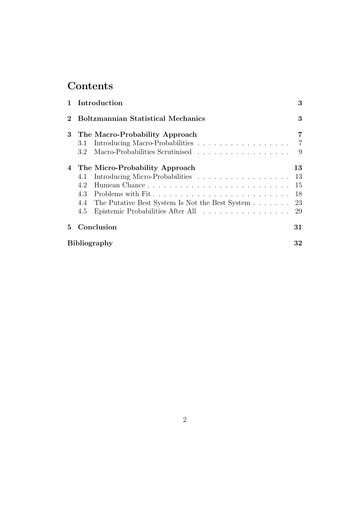## **Contents**

|         | 1 Introduction                                                                                                                                                            | 3        |
|---------|---------------------------------------------------------------------------------------------------------------------------------------------------------------------------|----------|
| $2^{-}$ | <b>Boltzmannian Statistical Mechanics</b>                                                                                                                                 | 3        |
|         | 3 The Macro-Probability Approach<br>3.1<br>3.2 <sub>1</sub>                                                                                                               | 7<br>9   |
|         | 4 The Micro-Probability Approach<br>Introducing Micro-Probabilities 13<br>4.1<br>Humean Chance 15<br>4.2<br>4.4 The Putative Best System Is Not the Best System 23<br>4.5 | 13<br>29 |
| 5       | Conclusion                                                                                                                                                                | 31       |
|         | <b>Bibliography</b>                                                                                                                                                       | 32       |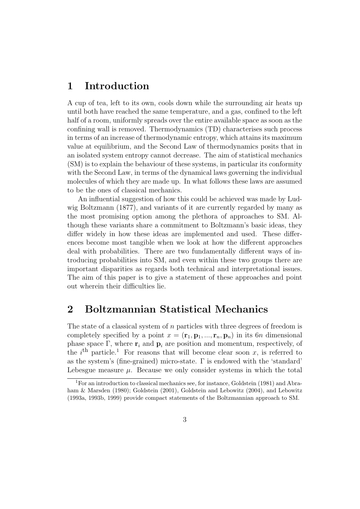## 1 Introduction

A cup of tea, left to its own, cools down while the surrounding air heats up until both have reached the same temperature, and a gas, confined to the left half of a room, uniformly spreads over the entire available space as soon as the confining wall is removed. Thermodynamics (TD) characterises such process in terms of an increase of thermodynamic entropy, which attains its maximum value at equilibrium, and the Second Law of thermodynamics posits that in an isolated system entropy cannot decrease. The aim of statistical mechanics (SM) is to explain the behaviour of these systems, in particular its conformity with the Second Law, in terms of the dynamical laws governing the individual molecules of which they are made up. In what follows these laws are assumed to be the ones of classical mechanics.

An influential suggestion of how this could be achieved was made by Ludwig Boltzmann (1877), and variants of it are currently regarded by many as the most promising option among the plethora of approaches to SM. Although these variants share a commitment to Boltzmann's basic ideas, they differ widely in how these ideas are implemented and used. These differences become most tangible when we look at how the different approaches deal with probabilities. There are two fundamentally different ways of introducing probabilities into SM, and even within these two groups there are important disparities as regards both technical and interpretational issues. The aim of this paper is to give a statement of these approaches and point out wherein their difficulties lie.

## 2 Boltzmannian Statistical Mechanics

The state of a classical system of n particles with three degrees of freedom is completely specified by a point  $x = (\mathbf{r}_1, \mathbf{p}_1, ..., \mathbf{r}_n, \mathbf{p}_n)$  in its 6n dimensional phase space Γ, where  $\mathbf{r}_i$  and  $\mathbf{p}_i$  are position and momentum, respectively, of the  $i^{\text{th}}$  particle.<sup>1</sup> For reasons that will become clear soon x, is referred to as the system's (fine-grained) micro-state. Γ is endowed with the 'standard' Lebesgue measure  $\mu$ . Because we only consider systems in which the total

<sup>&</sup>lt;sup>1</sup>For an introduction to classical mechanics see, for instance, Goldstein (1981) and Abraham & Marsden (1980); Goldstein (2001), Goldstein and Lebowitz (2004), and Lebowitz (1993a, 1993b, 1999) provide compact statements of the Boltzmannian approach to SM.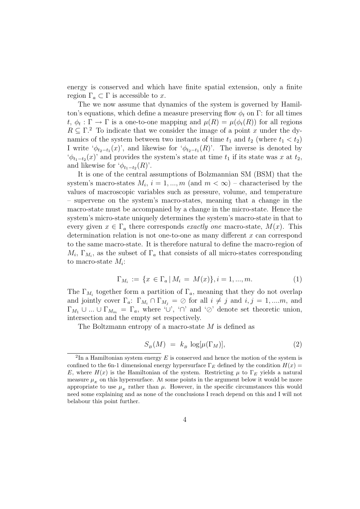energy is conserved and which have finite spatial extension, only a finite region  $\Gamma_a \subset \Gamma$  is accessible to x.

The we now assume that dynamics of the system is governed by Hamilton's equations, which define a measure preserving flow  $\phi_t$  on Γ: for all times  $t, \phi_t : \Gamma \to \Gamma$  is a one-to-one mapping and  $\mu(R) = \mu(\phi_t(R))$  for all regions  $R \subseteq \Gamma$ <sup>2</sup>. To indicate that we consider the image of a point x under the dynamics of the system between two instants of time  $t_1$  and  $t_2$  (where  $t_1 < t_2$ ) I write ' $\phi_{t_2-t_1}(x)$ ', and likewise for ' $\phi_{t_2-t_1}(R)$ '. The inverse is denoted by  $\phi_{t_1-t_2}(x)$ ' and provides the system's state at time  $t_1$  if its state was x at  $t_2$ , and likewise for  $\phi_{t_1-t_2}(R)$ .

It is one of the central assumptions of Bolzmannian SM (BSM) that the system's macro-states  $M_i$ ,  $i = 1, ..., m$  (and  $m < \infty$ ) – characterised by the values of macroscopic variables such as pressure, volume, and temperature – supervene on the system's macro-states, meaning that a change in the macro-state must be accompanied by a change in the micro-state. Hence the system's micro-state uniquely determines the system's macro-state in that to every given  $x \in \Gamma_a$  there corresponds exactly one macro-state,  $M(x)$ . This determination relation is not one-to-one as many different x can correspond to the same macro-state. It is therefore natural to define the macro-region of  $M_i$ ,  $\Gamma_{M_i}$ , as the subset of  $\Gamma_a$  that consists of all micro-states corresponding to macro-state  $M_i$ :

$$
\Gamma_{M_i} := \{ x \in \Gamma_a \, | \, M_i = M(x) \}, i = 1, ..., m. \tag{1}
$$

The  $\Gamma_{M_i}$  together form a partition of  $\Gamma_a$ , meaning that they do not overlap and jointly cover  $\Gamma_a: \Gamma_{M_i} \cap \Gamma_{M_j} = \emptyset$  for all  $i \neq j$  and  $i, j = 1, ..., m$ , and  $\Gamma_{M_1} \cup ... \cup \Gamma_{M_m} = \Gamma_a$ , where ' $\cup'$ ', ' $\cap'$ ' and ' $\oslash'$ ' denote set theoretic union, intersection and the empty set respectively.

The Boltzmann entropy of a macro-state M is defined as

$$
S_B(M) = k_B \log[\mu(\Gamma_M)], \qquad (2)
$$

<sup>&</sup>lt;sup>2</sup>In a Hamiltonian system energy  $E$  is conserved and hence the motion of the system is confined to the 6n-1 dimensional energy hypersurface  $\Gamma_E$  defined by the condition  $H(x)$  = E, where  $H(x)$  is the Hamiltonian of the system. Restricting  $\mu$  to  $\Gamma_E$  yields a natural measure  $\mu_E$  on this hypersurface. At some points in the argument below it would be more appropriate to use  $\mu_{E}$  rather than  $\mu$ . However, in the specific circumstances this would need some explaining and as none of the conclusions I reach depend on this and I will not belabour this point further.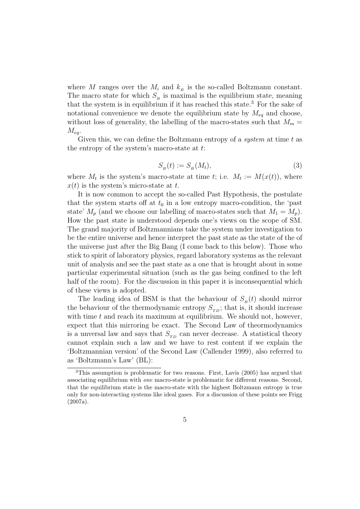where M ranges over the  $M_i$  and  $k_B$  is the so-called Boltzmann constant. The macro state for which  $S_B$  is maximal is the equilibrium state, meaning that the system is in equilibrium if it has reached this state.<sup>3</sup> For the sake of notational convenience we denote the equilibrium state by  $M_{eq}$  and choose, without loss of generality, the labelling of the macro-states such that  $M_m =$  $M_{ea}$ .

Given this, we can define the Boltzmann entropy of a *system* at time  $t$  as the entropy of the system's macro-state at  $t$ :

$$
S_B(t) := S_B(M_t),\tag{3}
$$

where  $M_t$  is the system's macro-state at time t; i.e.  $M_t := M(x(t))$ , where  $x(t)$  is the system's micro-state at t.

It is now common to accept the so-called Past Hypothesis, the postulate that the system starts off at  $t_0$  in a low entropy macro-condition, the 'past state'  $M_p$  (and we choose our labelling of macro-states such that  $M_1 = M_p$ ). How the past state is understood depends one's views on the scope of SM. The grand majority of Boltzmannians take the system under investigation to be the entire universe and hence interpret the past state as the state of the of the universe just after the Big Bang (I come back to this below). Those who stick to spirit of laboratory physics, regard laboratory systems as the relevant unit of analysis and see the past state as a one that is brought about in some particular experimental situation (such as the gas being confined to the left half of the room). For the discussion in this paper it is inconsequential which of these views is adopted.

The leading idea of BSM is that the behaviour of  $S_B(t)$  should mirror the behaviour of the thermodynamic entropy  $S_{TD}$ ; that is, it should increase with time  $t$  and reach its maximum at equilibrium. We should not, however, expect that this mirroring be exact. The Second Law of theormodynamics is a unversal law and says that  $S_{TD}$  can never decrease. A statistical theory cannot explain such a law and we have to rest content if we explain the 'Boltzmannian version' of the Second Law (Callender 1999), also referred to as 'Boltzmann's Law' (BL):

<sup>3</sup>This assumption is problematic for two reasons. First, Lavis (2005) has argued that associating equilibrium with one macro-state is problematic for different reasons. Second, that the equilibrium state is the macro-state with the highest Boltzmann entropy is true only for non-interacting systems like ideal gases. For a discussion of these points see Frigg (2007a).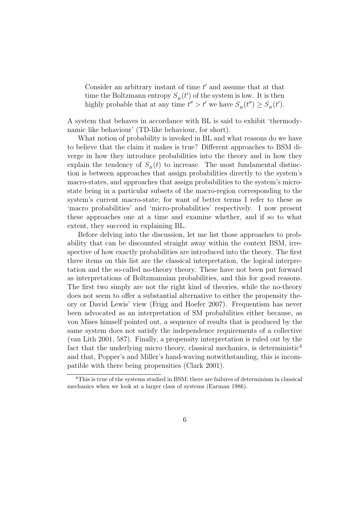Consider an arbitrary instant of time  $t'$  and assume that at that time the Boltzmann entropy  $S_B(t')$  of the system is low. It is then highly probable that at any time  $t'' > t'$  we have  $S_B(t'') \geq S_B(t')$ .

A system that behaves in accordance with BL is said to exhibit 'thermodynamic like behaviour' (TD-like behaviour, for short).

What notion of probability is invoked in BL and what reasons do we have to believe that the claim it makes is true? Different approaches to BSM diverge in how they introduce probabilities into the theory and in how they explain the tendency of  $S_B(t)$  to increase. The most fundamental distinction is between approaches that assign probabilities directly to the system's macro-states, and approaches that assign probabilities to the system's microstate being in a particular subsets of the macro-region corresponding to the system's current macro-state; for want of better terms I refer to these as 'macro probabilities' and 'micro-probabilities' respectively. I now present these approaches one at a time and examine whether, and if so to what extent, they succeed in explaining BL.

Before delving into the discussion, let me list those approaches to probability that can be discounted straight away within the context BSM, irrespective of how exactly probabilities are introduced into the theory. The first three items on this list are the classical interpretation, the logical interpretation and the so-called no-theory theory. These have not been put forward as interpretations of Boltzmannian probabilities, and this for good reasons. The first two simply are not the right kind of theories, while the no-theory does not seem to offer a substantial alternative to either the propensity theory or David Lewis' view (Frigg and Hoefer 2007). Frequentism has never been advocated as an interpretation of SM probabilities either because, as von Mises himself pointed out, a sequence of results that is produced by the same system does not satisfy the independence requirements of a collective (van Lith 2001, 587). Finally, a propensity interpretation is ruled out by the fact that the underlying micro theory, classical mechanics, is deterministic<sup>4</sup> and that, Popper's and Miller's hand-waving notwithstanding, this is incompatible with there being propensities (Clark 2001).

<sup>&</sup>lt;sup>4</sup>This is true of the systems studied in BSM; there are failures of determinism in classical mechanics when we look at a larger class of systems (Earman 1986).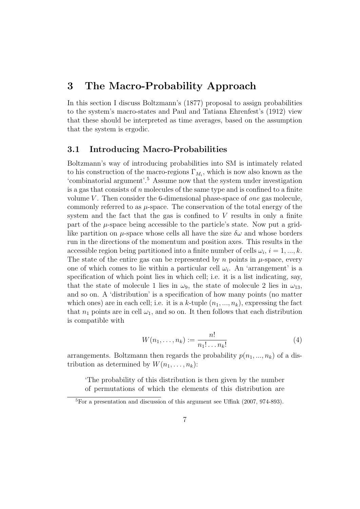## 3 The Macro-Probability Approach

In this section I discuss Boltzmann's (1877) proposal to assign probabilities to the system's macro-states and Paul and Tatiana Ehrenfest's (1912) view that these should be interpreted as time averages, based on the assumption that the system is ergodic.

#### 3.1 Introducing Macro-Probabilities

Boltzmann's way of introducing probabilities into SM is intimately related to his construction of the macro-regions  $\Gamma_{M_i}$ , which is now also known as the 'combinatorial argument'.<sup>5</sup> Assume now that the system under investigation is a gas that consists of  $n$  molecules of the same type and is confined to a finite volume  $V$ . Then consider the 6-dimensional phase-space of *one* gas molecule, commonly referred to as  $\mu$ -space. The conservation of the total energy of the system and the fact that the gas is confined to  $V$  results in only a finite part of the  $\mu$ -space being accessible to the particle's state. Now put a gridlike partition on  $\mu$ -space whose cells all have the size  $\delta\omega$  and whose borders run in the directions of the momentum and position axes. This results in the accessible region being partitioned into a finite number of cells  $\omega_i$ ,  $i = 1, ..., k$ . The state of the entire gas can be represented by n points in  $\mu$ -space, every one of which comes to lie within a particular cell  $\omega_i$ . An 'arrangement' is a specification of which point lies in which cell; i.e. it is a list indicating, say, that the state of molecule 1 lies in  $\omega_9$ , the state of molecule 2 lies in  $\omega_{13}$ , and so on. A 'distribution' is a specification of how many points (no matter which ones) are in each cell; i.e. it is a k-tuple  $(n_1, ..., n_k)$ , expressing the fact that  $n_1$  points are in cell  $\omega_1$ , and so on. It then follows that each distribution is compatible with

$$
W(n_1,\ldots,n_k) := \frac{n!}{n_1!\ldots n_k!} \tag{4}
$$

arrangements. Boltzmann then regards the probability  $p(n_1, ..., n_k)$  of a distribution as determined by  $W(n_1, \ldots, n_k)$ :

'The probability of this distribution is then given by the number of permutations of which the elements of this distribution are

<sup>5</sup>For a presentation and discussion of this argument see Uffink (2007, 974-893).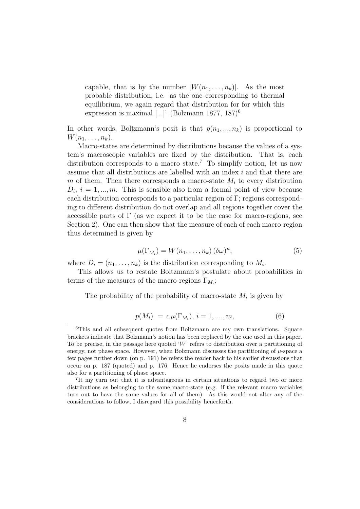capable, that is by the number  $[W(n_1, \ldots, n_k)]$ . As the most probable distribution, i.e. as the one corresponding to thermal equilibrium, we again regard that distribution for for which this expression is maximal  $[...]'$  (Bolzmann 1877, 187)<sup>6</sup>

In other words, Boltzmann's posit is that  $p(n_1, ..., n_k)$  is proportional to  $W(n_1,\ldots,n_k).$ 

Macro-states are determined by distributions because the values of a system's macroscopic variables are fixed by the distribution. That is, each distribution corresponds to a macro state.<sup>7</sup> To simplify notion, let us now assume that all distributions are labelled with an index i and that there are m of them. Then there corresponds a macro-state  $M_i$  to every distribution  $D_i$ ,  $i = 1, ..., m$ . This is sensible also from a formal point of view because each distribution corresponds to a particular region of  $\Gamma$ ; regions corresponding to different distribution do not overlap and all regions together cover the accessible parts of  $\Gamma$  (as we expect it to be the case for macro-regions, see Section 2). One can then show that the measure of each of each macro-region thus determined is given by

$$
\mu(\Gamma_{M_i}) = W(n_1, \dots, n_k) (\delta \omega)^n, \tag{5}
$$

where  $D_i = (n_1, \ldots, n_k)$  is the distribution corresponding to  $M_i$ .

This allows us to restate Boltzmann's postulate about probabilities in terms of the measures of the macro-regions  $\Gamma_{M_i}$ :

The probability of the probability of macro-state  $M_i$  is given by

$$
p(M_i) = c \mu(\Gamma_{M_i}), \, i = 1, \dots, m,
$$
\n(6)

 $6$ This and all subsequent quotes from Boltzmann are my own translations. Square brackets indicate that Bolzmann's notion has been replaced by the one used in this paper. To be precise, in the passage here quoted  $W$  refers to distribution over a partitioning of energy, not phase space. However, when Bolzmann discusses the partitioning of  $\mu$ -space a few pages further down (on p. 191) he refers the reader back to his earlier discussions that occur on p. 187 (quoted) and p. 176. Hence he endorses the posits made in this quote also for a partitioning of phase space.

<sup>&</sup>lt;sup>7</sup>It my turn out that it is advantageous in certain situations to regard two or more distributions as belonging to the same macro-state (e.g. if the relevant macro variables turn out to have the same values for all of them). As this would not alter any of the considerations to follow, I disregard this possibility henceforth.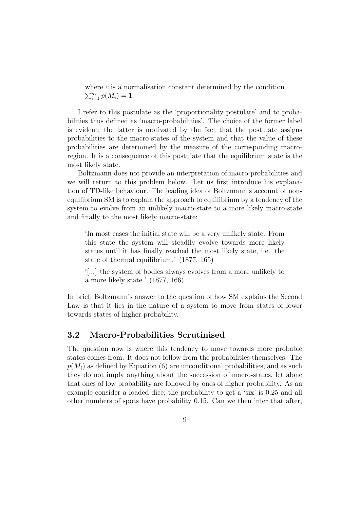where  $c$  is a normalisation constant determined by the condition  $\sum_{i=1}^{m} p(M_i) = 1.$ 

I refer to this postulate as the 'proportionality postulate' and to probabilities thus defined as 'macro-probabilities'. The choice of the former label is evident; the latter is motivated by the fact that the postulate assigns probabilities to the macro-states of the system and that the value of these probabilities are determined by the measure of the corresponding macroregion. It is a consequence of this postulate that the equilibrium state is the most likely state.

Boltzmann does not provide an interpretation of macro-probabilities and we will return to this problem below. Let us first introduce his explanation of TD-like behaviour. The leading idea of Boltzmann's account of nonequilibrium SM is to explain the approach to equilibrium by a tendency of the system to evolve from an unlikely macro-state to a more likely macro-state and finally to the most likely macro-state:

'In most cases the initial state will be a very unlikely state. From this state the system will steadily evolve towards more likely states until it has finally reached the most likely state, i.e. the state of thermal equilibrium.' (1877, 165)

'[...] the system of bodies always evolves from a more unlikely to a more likely state.' (1877, 166)

In brief, Boltzmann's answer to the question of how SM explains the Second Law is that it lies in the nature of a system to move from states of lower towards states of higher probability.

#### 3.2 Macro-Probabilities Scrutinised

The question now is where this tendency to move towards more probable states comes from. It does not follow from the probabilities themselves. The  $p(M<sub>i</sub>)$  as defined by Equation (6) are unconditional probabilities, and as such they do not imply anything about the succession of macro-states, let alone that ones of low probability are followed by ones of higher probability. As an example consider a loaded dice; the probability to get a 'six' is 0.25 and all other numbers of spots have probability 0.15. Can we then infer that after,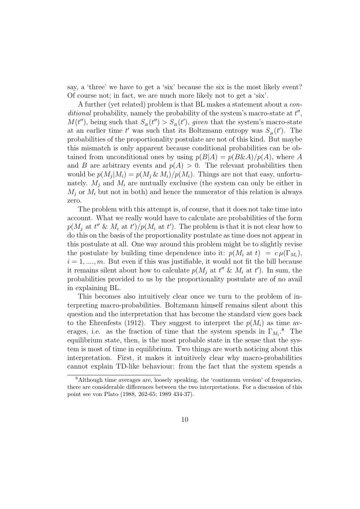say, a 'three' we have to get a 'six' because the six is the most likely event? Of course not; in fact, we are much more likely not to get a 'six'.

A further (yet related) problem is that BL makes a statement about a conditional probability, namely the probability of the system's macro-state at  $t''$ ,  $M(t'')$ , being such that  $S_B(t'') > S_B(t')$ , given that the system's macro-state at an earlier time  $t'$  was such that its Boltzmann entropy was  $S_B(t')$ . The probabilities of the proportionality postulate are not of this kind. But maybe this mismatch is only apparent because conditional probabilities can be obtained from unconditional ones by using  $p(B|A) = p(B\&A)/p(A)$ , where A and B are arbitrary events and  $p(A) > 0$ . The relevant probabilities then would be  $p(M_j|M_i) = p(M_j \& M_i)/p(M_i)$ . Things are not that easy, unfortunately.  $M_i$  and  $M_i$  are mutually exclusive (the system can only be either in  $M_i$  or  $M_i$  but not in both) and hence the numerator of this relation is always zero.

The problem with this attempt is, of course, that it does not take time into account. What we really would have to calculate are probabilities of the form  $p(M_j \text{ at } t'' \text{ \& } M_i \text{ at } t')/p(M_i \text{ at } t')$ . The problem is that it is not clear how to do this on the basis of the proportionality postulate as time does not appear in this postulate at all. One way around this problem might be to slightly revise the postulate by building time dependence into it:  $p(M_i \text{ at } t) = c \mu(\Gamma_{M_i}),$  $i = 1, \ldots, m$ . But even if this was justifiable, it would not fit the bill because it remains silent about how to calculate  $p(M_j \text{ at } t'' \& M_i \text{ at } t')$ . In sum, the probabilities provided to us by the proportionality postulate are of no avail in explaining BL.

This becomes also intuitively clear once we turn to the problem of interpreting macro-probabilities. Boltzmann himself remains silent about this question and the interpretation that has become the standard view goes back to the Ehrenfests (1912). They suggest to interpret the  $p(M_i)$  as time averages, i.e. as the fraction of time that the system spends in  $\Gamma_{M_i}$ .<sup>8</sup> The equilibrium state, then, is the most probable state in the sense that the system is most of time in equilibrium. Two things are worth noticing about this interpretation. First, it makes it intuitively clear why macro-probabilities cannot explain TD-like behaviour: from the fact that the system spends a

<sup>&</sup>lt;sup>8</sup>Although time averages are, loosely speaking, the 'continuum version' of frequencies, there are considerable differences between the two interpretations. For a discussion of this point see von Plato (1988, 262-65; 1989 434-37).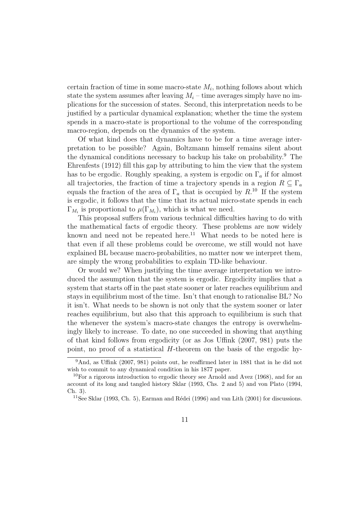certain fraction of time in some macro-state  $M_i$ , nothing follows about which state the system assumes after leaving  $M_i$  – time averages simply have no implications for the succession of states. Second, this interpretation needs to be justified by a particular dynamical explanation; whether the time the system spends in a macro-state is proportional to the volume of the corresponding macro-region, depends on the dynamics of the system.

Of what kind does that dynamics have to be for a time average interpretation to be possible? Again, Boltzmann himself remains silent about the dynamical conditions necessary to backup his take on probability.<sup>9</sup> The Ehrenfests (1912) fill this gap by attributing to him the view that the system has to be ergodic. Roughly speaking, a system is ergodic on  $\Gamma_a$  if for almost all trajectories, the fraction of time a trajectory spends in a region  $R \subseteq \Gamma_a$ equals the fraction of the area of  $\Gamma_a$  that is occupied by  $R^{10}$  If the system is ergodic, it follows that the time that its actual micro-state spends in each  $\Gamma_{M_i}$  is proportional to  $\mu(\Gamma_{M_i})$ , which is what we need.

This proposal suffers from various technical difficulties having to do with the mathematical facts of ergodic theory. These problems are now widely known and need not be repeated here.<sup>11</sup> What needs to be noted here is that even if all these problems could be overcome, we still would not have explained BL because macro-probabilities, no matter now we interpret them, are simply the wrong probabilities to explain TD-like behaviour.

Or would we? When justifying the time average interpretation we introduced the assumption that the system is ergodic. Ergodicity implies that a system that starts off in the past state sooner or later reaches equilibrium and stays in equilibrium most of the time. Isn't that enough to rationalise BL? No it isn't. What needs to be shown is not only that the system sooner or later reaches equilibrium, but also that this approach to equilibrium is such that the whenever the system's macro-state changes the entropy is overwhelmingly likely to increase. To date, no one succeeded in showing that anything of that kind follows from ergodicity (or as Jos Uffink (2007, 981) puts the point, no proof of a statistical H-theorem on the basis of the ergodic hy-

<sup>&</sup>lt;sup>9</sup>And, as Uffink (2007, 981) points out, he reaffirmed later in 1881 that in he did not wish to commit to any dynamical condition in his 1877 paper.

 $10$ For a rigorous introduction to ergodic theory see Arnold and Avez (1968), and for an account of its long and tangled history Sklar (1993, Chs. 2 and 5) and von Plato (1994, Ch. 3).

<sup>&</sup>lt;sup>11</sup>See Sklar (1993, Ch. 5), Earman and Rédei (1996) and van Lith (2001) for discussions.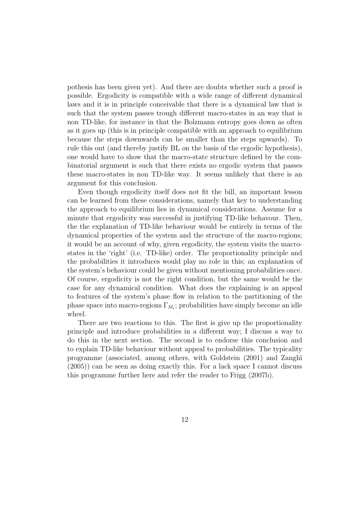pothesis has been given yet). And there are doubts whether such a proof is possible. Ergodicity is compatible with a wide range of different dynamical laws and it is in principle conceivable that there is a dynamical law that is such that the system passes trough different macro-states in an way that is non TD-like, for instance in that the Bolzmann entropy goes down as often as it goes up (this is in principle compatible with an approach to equilibrium because the steps downwards can be smaller than the steps upwards). To rule this out (and thereby justify BL on the basis of the ergodic hypothesis), one would have to show that the macro-state structure defined by the combinatorial argument is such that there exists no ergodic system that passes these macro-states in non TD-like way. It seems unlikely that there is an argument for this conclusion.

Even though ergodicity itself does not fit the bill, an important lesson can be learned from these considerations, namely that key to understanding the approach to equilibrium lies in dynamical considerations. Assume for a minute that ergodicity was successful in justifying TD-like behavour. Then, the the explanation of TD-like behaviour would be entirely in terms of the dynamical properties of the system and the structure of the macro-regions; it would be an account of why, given ergodicity, the system visits the macrostates in the 'right' (i.e. TD-like) order. The proportionality principle and the probabilities it introduces would play no role in this; an explanation of the system's behaviour could be given without mentioning probabilities once. Of course, ergodicity is not the right condition, but the same would be the case for any dynamical condition. What does the explaining is an appeal to features of the system's phase flow in relation to the partitioning of the phase space into macro-regions  $\Gamma_{M_i}$ ; probabilities have simply become an idle wheel.

There are two reactions to this. The first is give up the proportionality principle and introduce probabilities in a different way; I discuss a way to do this in the next section. The second is to endorse this conclusion and to explain TD-like behaviour without appeal to probabilities. The typicality programme (associated, among others, with Goldstein (2001) and Zangh`ı (2005)) can be seen as doing exactly this. For a lack space I cannot discuss this programme further here and refer the reader to Frigg (2007b).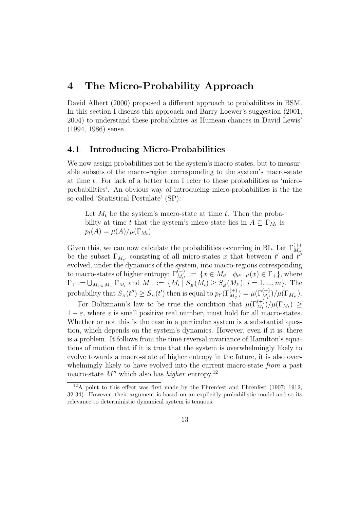### 4 The Micro-Probability Approach

David Albert (2000) proposed a different approach to probabilities in BSM. In this section I discuss this approach and Barry Loewer's suggestion (2001, 2004) to understand these probabilities as Humean chances in David Lewis' (1994, 1986) sense.

#### 4.1 Introducing Micro-Probabilities

We now assign probabilities not to the system's macro-states, but to measurable subsets of the macro-region corresponding to the system's macro-state at time t. For lack of a better term I refer to these probabilities as 'microprobabilities'. An obvious way of introducing micro-probabilities is the the so-called 'Statistical Postulate' (SP):

Let  $M_t$  be the system's macro-state at time t. Then the probability at time t that the system's micro-state lies in  $A \subseteq \Gamma_{M_t}$  is  $p_t(A) = \mu(A)/\mu(\Gamma_{M_t}).$ 

Given this, we can now calculate the probabilities occurring in BL. Let  $\Gamma_{M_{t'}}^{(+)}$  be the subset  $\Gamma_{M_{t'}}$  consisting of all micro-states x that between t' and t'' evolved, under the dynamics of the system, into macro-regions corresponding to macro-states of higher entropy:  $\Gamma_{M_{t'}}^{(+)} := \{x \in M_{t'} \mid \phi_{t''-t'}(x) \in \Gamma_{+}\}\)$ , where  $\Gamma_+ := \bigcup_{M_i \in M_+} \Gamma_{M_i}$  and  $M_+ := \{M_i \mid S_B(M_i) \geq S_B(M_{t'}), i = 1, ..., m\}.$  The probability that  $S_B(t'') \geq S_B(t')$  then is equal to  $p_{t'}(\Gamma_{M_{t'}}^{(+)}) = \mu(\Gamma_{M_{t'}}^{(+)})/\mu(\Gamma_{M_{t'}})$ .

For Boltzmann's law to be true the condition that  $\mu(\Gamma_{M_t}^{(+)})/\mu(\Gamma_{M_t}) \geq$  $1 - \varepsilon$ , where  $\varepsilon$  is small positive real number, must hold for all macro-states. Whether or not this is the case in a particular system is a substantial question, which depends on the system's dynamics. However, even if it is, there is a problem. It follows from the time reversal invariance of Hamilton's equations of motion that if it is true that the system is overwhelmingly likely to evolve towards a macro-state of higher entropy in the future, it is also overwhelmingly likely to have evolved into the current macro-state from a past macro-state  $M''$  which also has *higher* entropy.<sup>12</sup>

 $12A$  point to this effect was first made by the Ehrenfest and Ehrenfest (1907; 1912, 32-34). However, their argument is based on an explicitly probabilistic model and so its relevance to deterministic dynamical system is tenuous.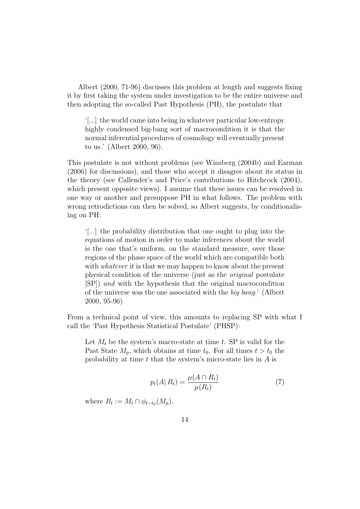Albert (2000, 71-96) discusses this problem at length and suggests fixing it by first taking the system under investigation to be the entire universe and then adopting the so-called Past Hypothesis (PH), the postulate that

'[...] the world came into being in whatever particular low-entropy highly condensed big-bang sort of macrocondition it is that the normal inferential procedures of cosmology will eventually present to us.' (Albert 2000, 96).

This postulate is not without problems (see Winsberg (2004b) and Earman (2006) for discussions), and those who accept it disagree about its status in the theory (see Callender's and Price's contributions to Hitchcock (2004), which present opposite views). I assume that these issues can be resolved in one way or another and presuppose PH in what follows. The problem with wrong retrodictions can then be solved, so Albert suggests, by conditionalising on PH:

'[...] the probability distribution that one ought to plug into the equations of motion in order to make inferences about the world is the one that's uniform, on the standard measure, over those regions of the phase space of the world which are compatible both with *whatever* it is that we may happen to know about the present physical condition of the universe (just as the original postulate [SP]) and with the hypothesis that the original macrocondition of the universe was the one associated with the big bang.' (Albert 2000, 95-96)

From a technical point of view, this amounts to replacing SP with what I call the 'Past Hypothesis Statistical Postulate' (PHSP):

Let  $M_t$  be the system's macro-state at time t. SP is valid for the Past State  $M_p$ , which obtains at time  $t_0$ . For all times  $t > t_0$  the probability at time  $t$  that the system's micro-state lies in  $A$  is

$$
p_t(A | R_t) = \frac{\mu(A \cap R_t)}{\mu(R_t)}
$$
\n<sup>(7)</sup>

where  $R_t := M_t \cap \phi_{t-t_0}(M_p)$ .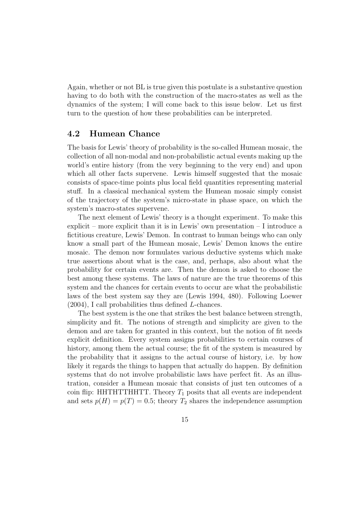Again, whether or not BL is true given this postulate is a substantive question having to do both with the construction of the macro-states as well as the dynamics of the system; I will come back to this issue below. Let us first turn to the question of how these probabilities can be interpreted.

#### 4.2 Humean Chance

The basis for Lewis' theory of probability is the so-called Humean mosaic, the collection of all non-modal and non-probabilistic actual events making up the world's entire history (from the very beginning to the very end) and upon which all other facts supervene. Lewis himself suggested that the mosaic consists of space-time points plus local field quantities representing material stuff. In a classical mechanical system the Humean mosaic simply consist of the trajectory of the system's micro-state in phase space, on which the system's macro-states supervene.

The next element of Lewis' theory is a thought experiment. To make this explicit – more explicit than it is in Lewis' own presentation – I introduce a fictitious creature, Lewis' Demon. In contrast to human beings who can only know a small part of the Humean mosaic, Lewis' Demon knows the entire mosaic. The demon now formulates various deductive systems which make true assertions about what is the case, and, perhaps, also about what the probability for certain events are. Then the demon is asked to choose the best among these systems. The laws of nature are the true theorems of this system and the chances for certain events to occur are what the probabilistic laws of the best system say they are (Lewis 1994, 480). Following Loewer (2004), I call probabilities thus defined L-chances.

The best system is the one that strikes the best balance between strength, simplicity and fit. The notions of strength and simplicity are given to the demon and are taken for granted in this context, but the notion of fit needs explicit definition. Every system assigns probabilities to certain courses of history, among them the actual course; the fit of the system is measured by the probability that it assigns to the actual course of history, i.e. by how likely it regards the things to happen that actually do happen. By definition systems that do not involve probabilistic laws have perfect fit. As an illustration, consider a Humean mosaic that consists of just ten outcomes of a coin flip: HHTHTTHHTT. Theory  $T_1$  posits that all events are independent and sets  $p(H) = p(T) = 0.5$ ; theory  $T_2$  shares the independence assumption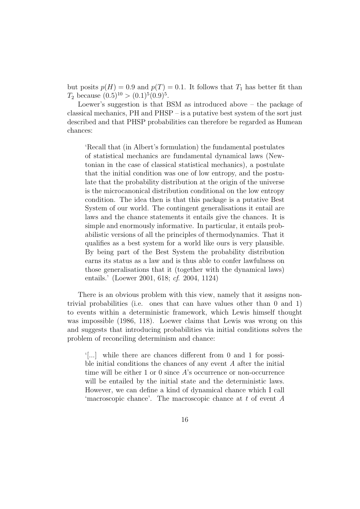but posits  $p(H) = 0.9$  and  $p(T) = 0.1$ . It follows that  $T_1$  has better fit than  $T_2$  because  $(0.5)^{10} > (0.1)^5 (0.9)^5$ .

Loewer's suggestion is that BSM as introduced above – the package of classical mechanics, PH and PHSP – is a putative best system of the sort just described and that PHSP probabilities can therefore be regarded as Humean chances:

'Recall that (in Albert's formulation) the fundamental postulates of statistical mechanics are fundamental dynamical laws (Newtonian in the case of classical statistical mechanics), a postulate that the initial condition was one of low entropy, and the postulate that the probability distribution at the origin of the universe is the microcanonical distribution conditional on the low entropy condition. The idea then is that this package is a putative Best System of our world. The contingent generalisations it entail are laws and the chance statements it entails give the chances. It is simple and enormously informative. In particular, it entails probabilistic versions of all the principles of thermodynamics. That it qualifies as a best system for a world like ours is very plausible. By being part of the Best System the probability distribution earns its status as a law and is thus able to confer lawfulness on those generalisations that it (together with the dynamical laws) entails.' (Loewer 2001, 618; cf. 2004, 1124)

There is an obvious problem with this view, namely that it assigns nontrivial probabilities (i.e. ones that can have values other than 0 and 1) to events within a deterministic framework, which Lewis himself thought was impossible (1986, 118). Loewer claims that Lewis was wrong on this and suggests that introducing probabilities via initial conditions solves the problem of reconciling determinism and chance:

'[...] while there are chances different from 0 and 1 for possible initial conditions the chances of any event A after the initial time will be either 1 or 0 since A's occurrence or non-occurrence will be entailed by the initial state and the deterministic laws. However, we can define a kind of dynamical chance which I call 'macroscopic chance'. The macroscopic chance at t of event A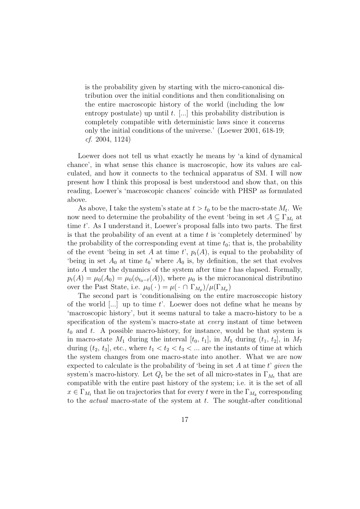is the probability given by starting with the micro-canonical distribution over the initial conditions and then conditionalising on the entire macroscopic history of the world (including the low entropy postulate) up until t.  $[\dots]$  this probability distribution is completely compatible with deterministic laws since it concerns only the initial conditions of the universe.' (Loewer 2001, 618-19; cf. 2004, 1124)

Loewer does not tell us what exactly he means by 'a kind of dynamical chance', in what sense this chance is macroscopic, how its values are calculated, and how it connects to the technical apparatus of SM. I will now present how I think this proposal is best understood and show that, on this reading, Loewer's 'macroscopic chances' coincide with PHSP as formulated above.

As above, I take the system's state at  $t > t_0$  to be the macro-state  $M_t$ . We now need to determine the probability of the event 'being in set  $A \subseteq \Gamma_{M_t}$  at time t'. As I understand it, Loewer's proposal falls into two parts. The first is that the probability of an event at a time  $t$  is 'completely determined' by the probability of the corresponding event at time  $t_0$ ; that is, the probability of the event 'being in set A at time t',  $p_t(A)$ , is equal to the probability of 'being in set  $A_0$  at time  $t_0$ ' where  $A_0$  is, by definition, the set that evolves into  $A$  under the dynamics of the system after time  $t$  has elapsed. Formally,  $p_t(A) = \mu_0(A_0) = \mu_0(\phi_{t_0-t}(A))$ , where  $\mu_0$  is the microcanonical distributino over the Past State, i.e.  $\mu_0(\cdot) = \mu(\cdot \cap \Gamma_{M_p})/\mu(\Gamma_{M_p})$ 

The second part is 'conditionalising on the entire macrosccopic history of the world  $\left[\ldots\right]$  up to time t. Loewer does not define what he means by 'macroscopic history', but it seems natural to take a macro-history to be a specification of the system's macro-state at *every* instant of time between  $t_0$  and t. A possible macro-history, for instance, would be that system is in macro-state  $M_1$  during the interval  $[t_0, t_1]$ , in  $M_5$  during  $(t_1, t_2]$ , in  $M_7$ during  $(t_2, t_3]$ , etc., where  $t_1 < t_2 < t_3 < \dots$  are the instants of time at which the system changes from one macro-state into another. What we are now expected to calculate is the probability of 'being in set A at time t' given the system's macro-history. Let  $Q_t$  be the set of all micro-states in  $\Gamma_{M_t}$  that are compatible with the entire past history of the system; i.e. it is the set of all  $x \in \Gamma_{M_t}$  that lie on trajectories that for every t were in the  $\Gamma_{M_k}$  corresponding to the *actual* macro-state of the system at  $t$ . The sought-after conditional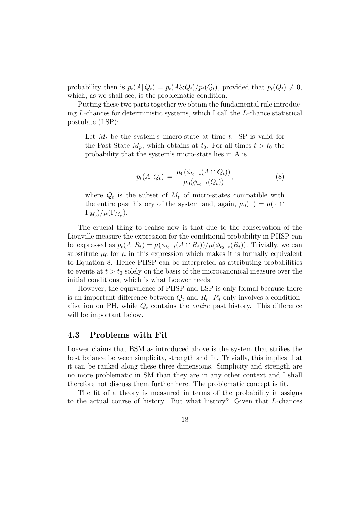probability then is  $p_t(A|Q_t) = p_t(A \& Q_t)/p_t(Q_t)$ , provided that  $p_t(Q_t) \neq 0$ , which, as we shall see, is the problematic condition.

Putting these two parts together we obtain the fundamental rule introducing L-chances for deterministic systems, which I call the L-chance statistical postulate (LSP):

Let  $M_t$  be the system's macro-state at time t. SP is valid for the Past State  $M_p$ , which obtains at  $t_0$ . For all times  $t > t_0$  the probability that the system's micro-state lies in A is

$$
p_t(A|Q_t) = \frac{\mu_0(\phi_{t_0-t}(A \cap Q_t))}{\mu_0(\phi_{t_0-t}(Q_t))},\tag{8}
$$

where  $Q_t$  is the subset of  $M_t$  of micro-states compatible with the entire past history of the system and, again,  $\mu_0(\cdot) = \mu(\cdot \cap$  $\Gamma_{M_p})/\mu(\Gamma_{M_p}).$ 

The crucial thing to realise now is that due to the conservation of the Liouville measure the expression for the conditional probability in PHSP can be expressed as  $p_t(A | R_t) = \mu(\phi_{t_0-t}(A \cap R_t))/\mu(\phi_{t_0-t}(R_t))$ . Trivially, we can substitute  $\mu_0$  for  $\mu$  in this expression which makes it is formally equivalent to Equation 8. Hence PHSP can be interpreted as attributing probabilities to events at  $t > t_0$  solely on the basis of the microcanonical measure over the initial conditions, which is what Loewer needs.

However, the equivalence of PHSP and LSP is only formal because there is an important difference between  $Q_t$  and  $R_t$ :  $R_t$  only involves a conditionalisation on PH, while  $Q_t$  contains the *entire* past history. This difference will be important below.

#### 4.3 Problems with Fit

Loewer claims that BSM as introduced above is the system that strikes the best balance between simplicity, strength and fit. Trivially, this implies that it can be ranked along these three dimensions. Simplicity and strength are no more problematic in SM than they are in any other context and I shall therefore not discuss them further here. The problematic concept is fit.

The fit of a theory is measured in terms of the probability it assigns to the actual course of history. But what history? Given that L-chances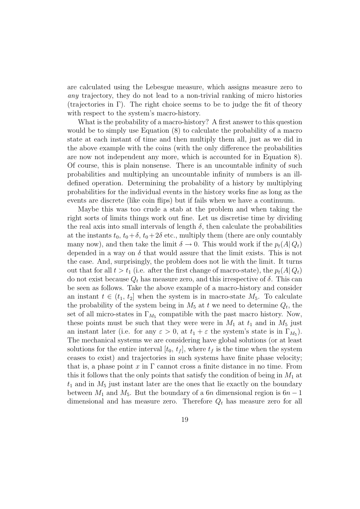are calculated using the Lebesgue measure, which assigns measure zero to any trajectory, they do not lead to a non-trivial ranking of micro histories (trajectories in Γ). The right choice seems to be to judge the fit of theory with respect to the system's macro-history.

What is the probability of a macro-history? A first answer to this question would be to simply use Equation (8) to calculate the probability of a macro state at each instant of time and then multiply them all, just as we did in the above example with the coins (with the only difference the probabilities are now not independent any more, which is accounted for in Equation 8). Of course, this is plain nonsense. There is an uncountable infinity of such probabilities and multiplying an uncountable infinity of numbers is an illdefined operation. Determining the probability of a history by multiplying probabilities for the individual events in the history works fine as long as the events are discrete (like coin flips) but if fails when we have a continuum.

Maybe this was too crude a stab at the problem and when taking the right sorts of limits things work out fine. Let us discretise time by dividing the real axis into small intervals of length  $\delta$ , then calculate the probabilities at the instants  $t_0$ ,  $t_0+\delta$ ,  $t_0+2\delta$  etc., multiply them (there are only countably many now), and then take the limit  $\delta \to 0$ . This would work if the  $p_t(A|Q_t)$ depended in a way on  $\delta$  that would assure that the limit exists. This is not the case. And, surprisingly, the problem does not lie with the limit. It turns out that for all  $t > t_1$  (i.e. after the first change of macro-state), the  $p_t(A|Q_t)$ do not exist because  $Q_t$  has measure zero, and this irrespective of  $\delta$ . This can be seen as follows. Take the above example of a macro-history and consider an instant  $t \in (t_1, t_2]$  when the system is in macro-state  $M_5$ . To calculate the probability of the system being in  $M_5$  at t we need to determine  $Q_t$ , the set of all micro-states in  $\Gamma_{M_5}$  compatible with the past macro history. Now, these points must be such that they were were in  $M_1$  at  $t_1$  and in  $M_5$  just an instant later (i.e. for any  $\varepsilon > 0$ , at  $t_1 + \varepsilon$  the system's state is in  $\Gamma_{M_5}$ ). The mechanical systems we are considering have global solutions (or at least solutions for the entire interval  $[t_0, t_f]$ , where  $t_f$  is the time when the system ceases to exist) and trajectories in such systems have finite phase velocity; that is, a phase point  $x$  in  $\Gamma$  cannot cross a finite distance in no time. From this it follows that the only points that satisfy the condition of being in  $M_1$  at  $t_1$  and in  $M_5$  just instant later are the ones that lie exactly on the boundary between  $M_1$  and  $M_5$ . But the boundary of a 6n dimensional region is 6n – 1 dimensional and has measure zero. Therefore  $Q_t$  has measure zero for all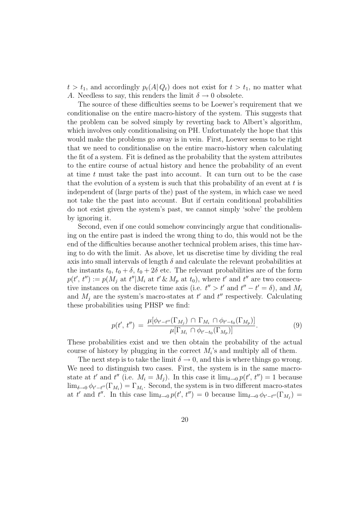$t > t_1$ , and accordingly  $p_t(A|Q_t)$  does not exist for  $t > t_1$ , no matter what A. Needless to say, this renders the limit  $\delta \to 0$  obsolete.

The source of these difficulties seems to be Loewer's requirement that we conditionalise on the entire macro-history of the system. This suggests that the problem can be solved simply by reverting back to Albert's algorithm, which involves only conditionalising on PH. Unfortunately the hope that this would make the problems go away is in vein. First, Loewer seems to be right that we need to conditionalise on the entire macro-history when calculating the fit of a system. Fit is defined as the probability that the system attributes to the entire course of actual history and hence the probability of an event at time  $t$  must take the past into account. It can turn out to be the case that the evolution of a system is such that this probability of an event at  $t$  is independent of (large parts of the) past of the system, in which case we need not take the the past into account. But if certain conditional probabilities do not exist given the system's past, we cannot simply 'solve' the problem by ignoring it.

Second, even if one could somehow convincingly argue that conditionalising on the entire past is indeed the wrong thing to do, this would not be the end of the difficulties because another technical problem arises, this time having to do with the limit. As above, let us discretise time by dividing the real axis into small intervals of length  $\delta$  and calculate the relevant probabilities at the instants  $t_0$ ,  $t_0 + \delta$ ,  $t_0 + 2\delta$  etc. The relevant probabilities are of the form  $p(t', t'') := p(M_j \text{ at } t' | M_i \text{ at } t' \& M_p \text{ at } t_0), \text{ where } t' \text{ and } t'' \text{ are two consecutive.}$ tive instances on the discrete time axis (i.e.  $t'' > t'$  and  $t'' - t' = \delta$ ), and  $M_i$ and  $M_j$  are the system's macro-states at  $t'$  and  $t''$  respectively. Calculating these probabilities using PHSP we find:

$$
p(t', t'') = \frac{\mu[\phi_{t'-t''}(\Gamma_{M_j}) \cap \Gamma_{M_i} \cap \phi_{t'-t_0}(\Gamma_{M_p})]}{\mu[\Gamma_{M_i} \cap \phi_{t'-t_0}(\Gamma_{M_p})]}.
$$
\n(9)

These probabilities exist and we then obtain the probability of the actual course of history by plugging in the correct  $M_i$ 's and multiply all of them.

The next step is to take the limit  $\delta \to 0$ , and this is where things go wrong. We need to distinguish two cases. First, the system is in the same macrostate at t' and t'' (i.e.  $M_i = M_j$ ). In this case it  $\lim_{\delta \to 0} p(t', t'') = 1$  because  $\lim_{\delta \to 0} \phi_{t'-t''}(\Gamma_{M_i}) = \Gamma_{M_i}$ . Second, the system is in two different macro-states at t' and t''. In this case  $\lim_{\delta \to 0} p(t', t'') = 0$  because  $\lim_{\delta \to 0} \phi_{t'-t''}(\Gamma_{M_j}) =$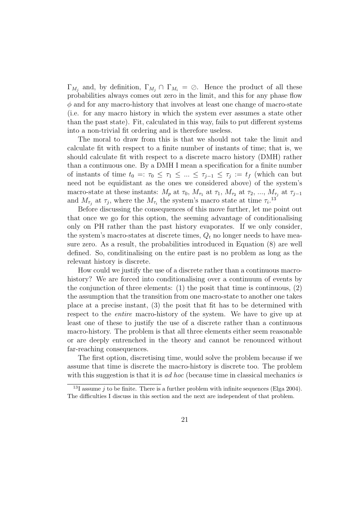$\Gamma_{M_j}$  and, by definition,  $\Gamma_{M_j} \cap \Gamma_{M_i} = \emptyset$ . Hence the product of all these probabilities always comes out zero in the limit, and this for any phase flow  $\phi$  and for any macro-history that involves at least one change of macro-state (i.e. for any macro history in which the system ever assumes a state other than the past state). Fit, calculated in this way, fails to put different systems into a non-trivial fit ordering and is therefore useless.

The moral to draw from this is that we should not take the limit and calculate fit with respect to a finite number of instants of time; that is, we should calculate fit with respect to a discrete macro history (DMH) rather than a continuous one. By a DMH I mean a specification for a finite number of instants of time  $t_0 =: \tau_0 \leq \tau_1 \leq ... \leq \tau_{j-1} \leq \tau_j := t_f$  (which can but need not be equidistant as the ones we considered above) of the system's macro-state at these instants:  $M_p$  at  $\tau_0$ ,  $M_{\tau_1}$  at  $\tau_1$ ,  $M_{\tau_2}$  at  $\tau_2$ , ...,  $M_{\tau_j}$  at  $\tau_{j-1}$ and  $M_{\tau_j}$  at  $\tau_j$ , where the  $M_{\tau_i}$  the system's macro state at time  $\tau_i$ .<sup>13</sup>

Before discussing the consequences of this move further, let me point out that once we go for this option, the seeming advantage of conditionalising only on PH rather than the past history evaporates. If we only consider, the system's macro-states at discrete times,  $Q_t$  no longer needs to have measure zero. As a result, the probabilities introduced in Equation (8) are well defined. So, conditinalising on the entire past is no problem as long as the relevant history is discrete.

How could we justify the use of a discrete rather than a continuous macrohistory? We are forced into conditionalising over a continuum of events by the conjunction of three elements:  $(1)$  the posit that time is continuous,  $(2)$ the assumption that the transition from one macro-state to another one takes place at a precise instant, (3) the posit that fit has to be determined with respect to the entire macro-history of the system. We have to give up at least one of these to justify the use of a discrete rather than a continuous macro-history. The problem is that all three elements either seem reasonable or are deeply entrenched in the theory and cannot be renounced without far-reaching consequences.

The first option, discretising time, would solve the problem because if we assume that time is discrete the macro-history is discrete too. The problem with this suggestion is that it is *ad hoc* (because time in classical mechanics is

<sup>&</sup>lt;sup>13</sup>I assume *i* to be finite. There is a further problem with infinite sequences (Elga 2004). The difficulties I discuss in this section and the next are independent of that problem.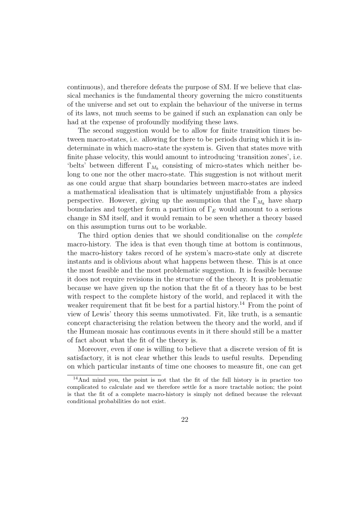continuous), and therefore defeats the purpose of SM. If we believe that classical mechanics is the fundamental theory governing the micro constituents of the universe and set out to explain the behaviour of the universe in terms of its laws, not much seems to be gained if such an explanation can only be had at the expense of profoundly modifying these laws.

The second suggestion would be to allow for finite transition times between macro-states, i.e. allowing for there to be periods during which it is indeterminate in which macro-state the system is. Given that states move with finite phase velocity, this would amount to introducing 'transition zones', i.e. 'belts' between different  $\Gamma_{M_k}$  consisting of micro-states which neither belong to one nor the other macro-state. This suggestion is not without merit as one could argue that sharp boundaries between macro-states are indeed a mathematical idealisation that is ultimately unjustifiable from a physics perspective. However, giving up the assumption that the  $\Gamma_{M_k}$  have sharp boundaries and together form a partition of  $\Gamma_E$  would amount to a serious change in SM itself, and it would remain to be seen whether a theory based on this assumption turns out to be workable.

The third option denies that we should conditionalise on the *complete* macro-history. The idea is that even though time at bottom is continuous, the macro-history takes record of he system's macro-state only at discrete instants and is oblivious about what happens between these. This is at once the most feasible and the most problematic suggestion. It is feasible because it does not require revisions in the structure of the theory. It is problematic because we have given up the notion that the fit of a theory has to be best with respect to the complete history of the world, and replaced it with the weaker requirement that fit be best for a partial history.<sup>14</sup> From the point of view of Lewis' theory this seems unmotivated. Fit, like truth, is a semantic concept characterising the relation between the theory and the world, and if the Humean mosaic has continuous events in it there should still be a matter of fact about what the fit of the theory is.

Moreover, even if one is willing to believe that a discrete version of fit is satisfactory, it is not clear whether this leads to useful results. Depending on which particular instants of time one chooses to measure fit, one can get

<sup>14</sup>And mind you, the point is not that the fit of the full history is in practice too complicated to calculate and we therefore settle for a more tractable notion; the point is that the fit of a complete macro-history is simply not defined because the relevant conditional probabilities do not exist.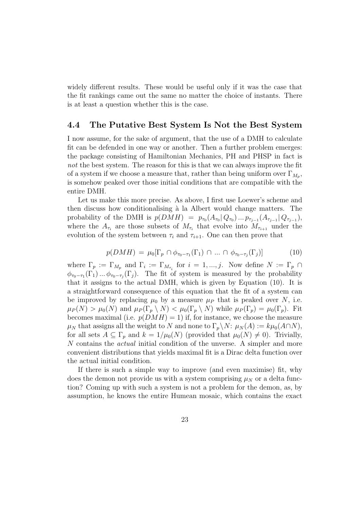widely different results. These would be useful only if it was the case that the fit rankings came out the same no matter the choice of instants. There is at least a question whether this is the case.

#### 4.4 The Putative Best System Is Not the Best System

I now assume, for the sake of argument, that the use of a DMH to calculate fit can be defended in one way or another. Then a further problem emerges: the package consisting of Hamiltonian Mechanics, PH and PHSP in fact is not the best system. The reason for this is that we can always improve the fit of a system if we choose a measure that, rather than being uniform over  $\Gamma_{M_p}$ , is somehow peaked over those initial conditions that are compatible with the entire DMH.

Let us make this more precise. As above, I first use Loewer's scheme and then discuss how conditionalising à la Albert would change matters. The probability of the DMH is  $p(DMH) = p_{\tau_0}(A_{\tau_0}|Q_{\tau_0})...p_{\tau_{j-1}}(A_{\tau_{j-1}}|Q_{\tau_{j-1}}),$ where the  $A_{\tau_i}$  are those subsets of  $M_{\tau_i}$  that evolve into  $M_{\tau_{i+1}}$  under the evolution of the system between  $\tau_i$  and  $\tau_{i+1}$ . One can then prove that

$$
p(DMH) = \mu_0[\Gamma_p \cap \phi_{\tau_0 - \tau_1}(\Gamma_1) \cap \dots \cap \phi_{\tau_0 - \tau_j}(\Gamma_j)] \tag{10}
$$

where  $\Gamma_p := \Gamma_{M_p}$  and  $\Gamma_i := \Gamma_{M_{\tau_i}}$  for  $i = 1, ..., j$ . Now define  $N := \Gamma_p \cap$  $\phi_{\tau_0-\tau_1}(\Gamma_1)\dots\phi_{\tau_0-\tau_j}(\Gamma_j)$ . The fit of system is measured by the probability that it assigns to the actual DMH, which is given by Equation (10). It is a straightforward consequence of this equation that the fit of a system can be improved by replacing  $\mu_0$  by a measure  $\mu_P$  that is peaked over N, i.e.  $\mu_P(N) > \mu_0(N)$  and  $\mu_P(\Gamma_p \setminus N) < \mu_0(\Gamma_p \setminus N)$  while  $\mu_P(\Gamma_p) = \mu_0(\Gamma_p)$ . Fit becomes maximal (i.e.  $p(DMH) = 1$ ) if, for instance, we choose the measure  $\mu_N$  that assigns all the weight to N and none to  $\Gamma_p\backslash N: \mu_N(A) := k\mu_0(A\cap N),$ for all sets  $A \subseteq \Gamma_p$  and  $k = 1/\mu_0(N)$  (provided that  $\mu_0(N) \neq 0$ ). Trivially, N contains the actual initial condition of the unverse. A simpler and more convenient distributions that yields maximal fit is a Dirac delta function over the actual initial condition.

If there is such a simple way to improve (and even maximise) fit, why does the demon not provide us with a system comprising  $\mu_N$  or a delta function? Coming up with such a system is not a problem for the demon, as, by assumption, he knows the entire Humean mosaic, which contains the exact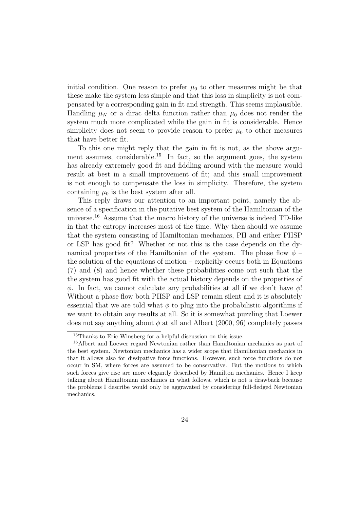initial condition. One reason to prefer  $\mu_0$  to other measures might be that these make the system less simple and that this loss in simplicity is not compensated by a corresponding gain in fit and strength. This seems implausible. Handling  $\mu_N$  or a dirac delta function rather than  $\mu_0$  does not render the system much more complicated while the gain in fit is considerable. Hence simplicity does not seem to provide reason to prefer  $\mu_0$  to other measures that have better fit.

To this one might reply that the gain in fit is not, as the above argument assumes, considerable.<sup>15</sup> In fact, so the argument goes, the system has already extremely good fit and fiddling around with the measure would result at best in a small improvement of fit; and this small improvement is not enough to compensate the loss in simplicity. Therefore, the system containing  $\mu_0$  is the best system after all.

This reply draws our attention to an important point, namely the absence of a specification in the putative best system of the Hamiltonian of the universe.<sup>16</sup> Assume that the macro history of the universe is indeed TD-like in that the entropy increases most of the time. Why then should we assume that the system consisting of Hamiltonian mechanics, PH and either PHSP or LSP has good fit? Whether or not this is the case depends on the dynamical properties of the Hamiltonian of the system. The phase flow  $\phi$  – the solution of the equations of motion – explicitly occurs both in Equations (7) and (8) and hence whether these probabilities come out such that the the system has good fit with the actual history depends on the properties of  $\phi$ . In fact, we cannot calculate any probabilities at all if we don't have  $\phi$ ! Without a phase flow both PHSP and LSP remain silent and it is absolutely essential that we are told what  $\phi$  to plug into the probabilistic algorithms if we want to obtain any results at all. So it is somewhat puzzling that Loewer does not say anything about  $\phi$  at all and Albert (2000, 96) completely passes

<sup>15</sup>Thanks to Eric Winsberg for a helpful discussion on this issue.

<sup>16</sup>Albert and Loewer regard Newtonian rather than Hamiltonian mechanics as part of the best system. Newtonian mechanics has a wider scope that Hamiltonian mechanics in that it allows also for dissipative force functions. However, such force functions do not occur in SM, where forces are assumed to be conservative. But the motions to which such forces give rise are more elegantly described by Hamilton mechanics. Hence I keep talking about Hamiltonian mechanics in what follows, which is not a drawback because the problems I describe would only be aggravated by considering full-fledged Newtonian mechanics.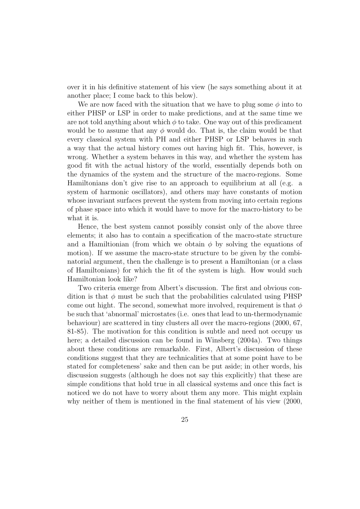over it in his definitive statement of his view (he says something about it at another place; I come back to this below).

We are now faced with the situation that we have to plug some  $\phi$  into to either PHSP or LSP in order to make predictions, and at the same time we are not told anything about which  $\phi$  to take. One way out of this predicament would be to assume that any  $\phi$  would do. That is, the claim would be that every classical system with PH and either PHSP or LSP behaves in such a way that the actual history comes out having high fit. This, however, is wrong. Whether a system behaves in this way, and whether the system has good fit with the actual history of the world, essentially depends both on the dynamics of the system and the structure of the macro-regions. Some Hamiltonians don't give rise to an approach to equilibrium at all (e.g. a system of harmonic oscillators), and others may have constants of motion whose invariant surfaces prevent the system from moving into certain regions of phase space into which it would have to move for the macro-history to be what it is.

Hence, the best system cannot possibly consist only of the above three elements; it also has to contain a specification of the macro-state structure and a Hamiltionian (from which we obtain  $\phi$  by solving the equations of motion). If we assume the macro-state structure to be given by the combinatorial argument, then the challenge is to present a Hamiltonian (or a class of Hamiltonians) for which the fit of the system is high. How would such Hamiltonian look like?

Two criteria emerge from Albert's discussion. The first and obvious condition is that  $\phi$  must be such that the probabilities calculated using PHSP come out hight. The second, somewhat more involved, requirement is that  $\phi$ be such that 'abnormal' microstates (i.e. ones that lead to un-thermodynamic behaviour) are scattered in tiny clusters all over the macro-regions (2000, 67, 81-85). The motivation for this condition is subtle and need not occupy us here; a detailed discussion can be found in Winsberg (2004a). Two things about these conditions are remarkable. First, Albert's discussion of these conditions suggest that they are technicalities that at some point have to be stated for completeness' sake and then can be put aside; in other words, his discussion suggests (although he does not say this explicitly) that these are simple conditions that hold true in all classical systems and once this fact is noticed we do not have to worry about them any more. This might explain why neither of them is mentioned in the final statement of his view (2000,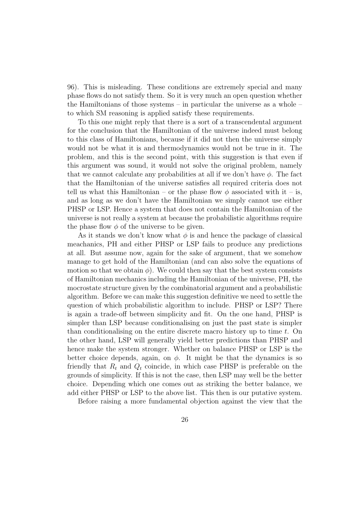96). This is misleading. These conditions are extremely special and many phase flows do not satisfy them. So it is very much an open question whether the Hamiltonians of those systems – in particular the universe as a whole – to which SM reasoning is applied satisfy these requirements.

To this one might reply that there is a sort of a transcendental argument for the conclusion that the Hamiltonian of the universe indeed must belong to this class of Hamiltonians, because if it did not then the universe simply would not be what it is and thermodynamics would not be true in it. The problem, and this is the second point, with this suggestion is that even if this argument was sound, it would not solve the original problem, namely that we cannot calculate any probabilities at all if we don't have  $\phi$ . The fact that the Hamiltonian of the universe satisfies all required criteria does not tell us what this Hamiltonian – or the phase flow  $\phi$  associated with it – is, and as long as we don't have the Hamiltonian we simply cannot use either PHSP or LSP. Hence a system that does not contain the Hamiltonian of the universe is not really a system at because the probabilistic algorithms require the phase flow  $\phi$  of the universe to be given.

As it stands we don't know what  $\phi$  is and hence the package of classical meachanics, PH and either PHSP or LSP fails to produce any predictions at all. But assume now, again for the sake of argument, that we somehow manage to get hold of the Hamiltonian (and can also solve the equations of motion so that we obtain  $\phi$ ). We could then say that the best system consists of Hamiltonian mechanics including the Hamiltonian of the universe, PH, the mocrostate structure given by the combinatorial argument and a probabilistic algorithm. Before we can make this suggestion definitive we need to settle the question of which probabilistic algorithm to include. PHSP or LSP? There is again a trade-off between simplicity and fit. On the one hand, PHSP is simpler than LSP because conditionalising on just the past state is simpler than conditionalising on the entire discrete macro history up to time  $t$ . On the other hand, LSP will generally yield better predictions than PHSP and hence make the system stronger. Whether on balance PHSP or LSP is the better choice depends, again, on  $\phi$ . It might be that the dynamics is so friendly that  $R_t$  and  $Q_t$  coincide, in which case PHSP is preferable on the grounds of simplicity. If this is not the case, then LSP may well be the better choice. Depending which one comes out as striking the better balance, we add either PHSP or LSP to the above list. This then is our putative system.

Before raising a more fundamental objection against the view that the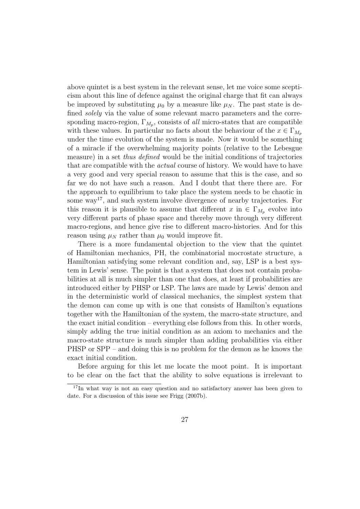above quintet is a best system in the relevant sense, let me voice some scepticism about this line of defence against the original charge that fit can always be improved by substituting  $\mu_0$  by a measure like  $\mu_N$ . The past state is defined *solely* via the value of some relevant macro parameters and the corresponding macro-region,  $\Gamma_{M_p}$ , consists of all micro-states that are compatible with these values. In particular no facts about the behaviour of the  $x \in \Gamma_{M_p}$ under the time evolution of the system is made. Now it would be something of a miracle if the overwhelming majority points (relative to the Lebesgue measure) in a set thus defined would be the initial conditions of trajectories that are compatible with the actual course of history. We would have to have a very good and very special reason to assume that this is the case, and so far we do not have such a reason. And I doubt that there there are. For the approach to equilibrium to take place the system needs to be chaotic in some way<sup>17</sup>, and such system involve divergence of nearby trajectories. For this reason it is plausible to assume that different  $x$  in  $\in \Gamma_{M_p}$  evolve into very different parts of phase space and thereby move through very different macro-regions, and hence give rise to different macro-histories. And for this reason using  $\mu_N$  rather than  $\mu_0$  would improve fit.

There is a more fundamental objection to the view that the quintet of Hamiltonian mechanics, PH, the combinatorial mocrostate structure, a Hamiltonian satisfying some relevant condition and, say, LSP is a best system in Lewis' sense. The point is that a system that does not contain probabilities at all is much simpler than one that does, at least if probabilities are introduced either by PHSP or LSP. The laws are made by Lewis' demon and in the deterministic world of classical mechanics, the simplest system that the demon can come up with is one that consists of Hamilton's equations together with the Hamiltonian of the system, the macro-state structure, and the exact initial condition – everything else follows from this. In other words, simply adding the true initial condition as an axiom to mechanics and the macro-state structure is much simpler than adding probabilities via either PHSP or SPP – and doing this is no problem for the demon as he knows the exact initial condition.

Before arguing for this let me locate the moot point. It is important to be clear on the fact that the ability to solve equations is irrelevant to

<sup>&</sup>lt;sup>17</sup>In what way is not an easy question and no satisfactory answer has been given to date. For a discussion of this issue see Frigg  $(2007b)$ .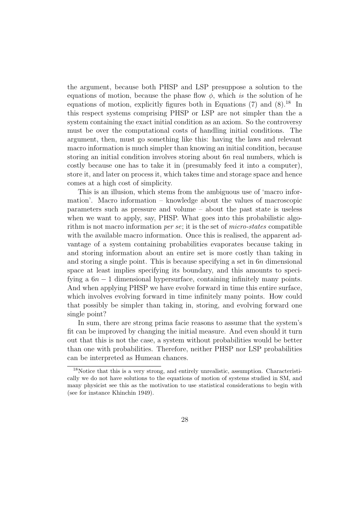the argument, because both PHSP and LSP presuppose a solution to the equations of motion, because the phase flow  $\phi$ , which is the solution of he equations of motion, explicitly figures both in Equations  $(7)$  and  $(8).^{18}$  In this respect systems comprising PHSP or LSP are not simpler than the a system containing the exact initial condition as an axiom. So the controversy must be over the computational costs of handling initial conditions. The argument, then, must go something like this: having the laws and relevant macro information is much simpler than knowing an initial condition, because storing an initial condition involves storing about 6n real numbers, which is costly because one has to take it in (presumably feed it into a computer), store it, and later on process it, which takes time and storage space and hence comes at a high cost of simplicity.

This is an illusion, which stems from the ambiguous use of 'macro information'. Macro information – knowledge about the values of macroscopic parameters such as pressure and volume – about the past state is useless when we want to apply, say, PHSP. What goes into this probabilistic algorithm is not macro information per se; it is the set of micro-states compatible with the available macro information. Once this is realised, the apparent advantage of a system containing probabilities evaporates because taking in and storing information about an entire set is more costly than taking in and storing a single point. This is because specifying a set in 6n dimensional space at least implies specifying its boundary, and this amounts to specifying a  $6n - 1$  dimensional hypersurface, containing infinitely many points. And when applying PHSP we have evolve forward in time this entire surface, which involves evolving forward in time infinitely many points. How could that possibly be simpler than taking in, storing, and evolving forward one single point?

In sum, there are strong prima facie reasons to assume that the system's fit can be improved by changing the initial measure. And even should it turn out that this is not the case, a system without probabilities would be better than one with probabilities. Therefore, neither PHSP nor LSP probabilities can be interpreted as Humean chances.

<sup>18</sup>Notice that this is a very strong, and entirely unrealistic, assumption. Characteristically we do not have solutions to the equations of motion of systems studied in SM, and many physicist see this as the motivation to use statistical considerations to begin with (see for instance Khinchin 1949).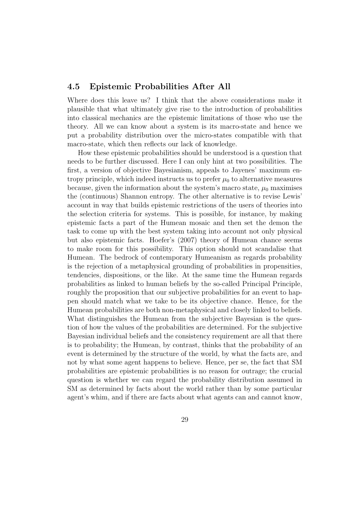#### 4.5 Epistemic Probabilities After All

Where does this leave us? I think that the above considerations make it plausible that what ultimately give rise to the introduction of probabilities into classical mechanics are the epistemic limitations of those who use the theory. All we can know about a system is its macro-state and hence we put a probability distribution over the micro-states compatible with that macro-state, which then reflects our lack of knowledge.

How these epistemic probabilities should be understood is a question that needs to be further discussed. Here I can only hint at two possibilities. The first, a version of objective Bayesianism, appeals to Jayenes' maximum entropy principle, which indeed instructs us to prefer  $\mu_0$  to alternative measures because, given the information about the system's macro state,  $\mu_0$  maximises the (continuous) Shannon entropy. The other alternative is to revise Lewis' account in way that builds epistemic restrictions of the users of theories into the selection criteria for systems. This is possible, for instance, by making epistemic facts a part of the Humean mosaic and then set the demon the task to come up with the best system taking into account not only physical but also epistemic facts. Hoefer's (2007) theory of Humean chance seems to make room for this possibility. This option should not scandalise that Humean. The bedrock of contemporary Humeanism as regards probability is the rejection of a metaphysical grounding of probabilities in propensities, tendencies, dispositions, or the like. At the same time the Humean regards probabilities as linked to human beliefs by the so-called Principal Principle, roughly the proposition that our subjective probabilities for an event to happen should match what we take to be its objective chance. Hence, for the Humean probabilities are both non-metaphysical and closely linked to beliefs. What distinguishes the Humean from the subjective Bayesian is the question of how the values of the probabilities are determined. For the subjective Bayesian individual beliefs and the consistency requirement are all that there is to probability; the Humean, by contrast, thinks that the probability of an event is determined by the structure of the world, by what the facts are, and not by what some agent happens to believe. Hence, per se, the fact that SM probabilities are epistemic probabilities is no reason for outrage; the crucial question is whether we can regard the probability distribution assumed in SM as determined by facts about the world rather than by some particular agent's whim, and if there are facts about what agents can and cannot know,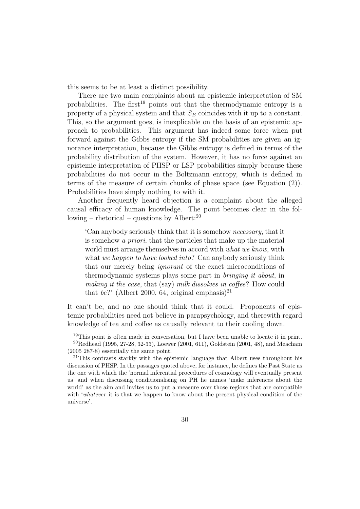this seems to be at least a distinct possibility.

There are two main complaints about an epistemic interpretation of SM probabilities. The first<sup>19</sup> points out that the thermodynamic entropy is a property of a physical system and that  $S_B$  coincides with it up to a constant. This, so the argument goes, is inexplicable on the basis of an epistemic approach to probabilities. This argument has indeed some force when put forward against the Gibbs entropy if the SM probabilities are given an ignorance interpretation, because the Gibbs entropy is defined in terms of the probability distribution of the system. However, it has no force against an epistemic interpretation of PHSP or LSP probabilities simply because these probabilities do not occur in the Boltzmann entropy, which is defined in terms of the measure of certain chunks of phase space (see Equation (2)). Probabilities have simply nothing to with it.

Another frequently heard objection is a complaint about the alleged causal efficacy of human knowledge. The point becomes clear in the following – rhetorical – questions by Albert: $20$ 

'Can anybody seriously think that it is somehow necessary, that it is somehow a priori, that the particles that make up the material world must arrange themselves in accord with *what we know*, with what we happen to have looked into? Can anybody seriously think that our merely being ignorant of the exact microconditions of thermodynamic systems plays some part in bringing it about, in making it the case, that (say) milk dissolves in coffee? How could that be?' (Albert 2000, 64, original emphasis)<sup>21</sup>

It can't be, and no one should think that it could. Proponents of epistemic probabilities need not believe in parapsychology, and therewith regard knowledge of tea and coffee as causally relevant to their cooling down.

<sup>19</sup>This point is often made in conversation, but I have been unable to locate it in print. <sup>20</sup>Redhead (1995, 27-28, 32-33), Loewer (2001, 611), Goldstein (2001, 48), and Meacham (2005 287-8) essentially the same point.

<sup>&</sup>lt;sup>21</sup>This contrasts starkly with the epistemic language that Albert uses throughout his discussion of PHSP. In the passages quoted above, for instance, he defines the Past State as the one with which the 'normal inferential procedures of cosmology will eventually present us' and when discussing conditionalising on PH he names 'make inferences about the world' as the aim and invites us to put a measure over those regions that are compatible with *'whatever* it is that we happen to know about the present physical condition of the universe'.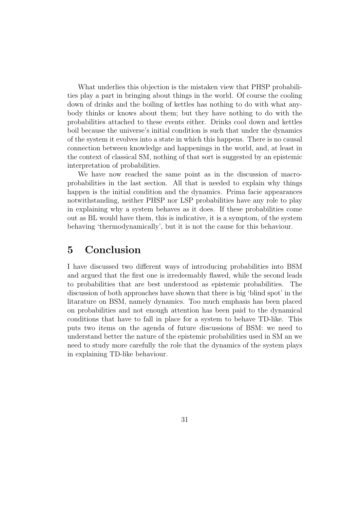What underlies this objection is the mistaken view that PHSP probabilities play a part in bringing about things in the world. Of course the cooling down of drinks and the boiling of kettles has nothing to do with what anybody thinks or knows about them; but they have nothing to do with the probabilities attached to these events either. Drinks cool down and kettles boil because the universe's initial condition is such that under the dynamics of the system it evolves into a state in which this happens. There is no causal connection between knowledge and happenings in the world, and, at least in the context of classical SM, nothing of that sort is suggested by an epistemic interpretation of probabilities.

We have now reached the same point as in the discussion of macroprobabilities in the last section. All that is needed to explain why things happen is the initial condition and the dynamics. Prima facie appearances notwithstanding, neither PHSP nor LSP probabilities have any role to play in explaining why a system behaves as it does. If these probabilities come out as BL would have them, this is indicative, it is a symptom, of the system behaving 'thermodynamically', but it is not the cause for this behaviour.

## 5 Conclusion

I have discussed two different ways of introducing probabilities into BSM and argued that the first one is irredeemably flawed, while the second leads to probabilities that are best understood as epistemic probabilities. The discussion of both approaches have shown that there is big 'blind spot' in the litarature on BSM, namely dynamics. Too much emphasis has been placed on probabilities and not enough attention has been paid to the dynamical conditions that have to fall in place for a system to behave TD-like. This puts two items on the agenda of future discussions of BSM: we need to understand better the nature of the epistemic probabilities used in SM an we need to study more carefully the role that the dynamics of the system plays in explaining TD-like behaviour.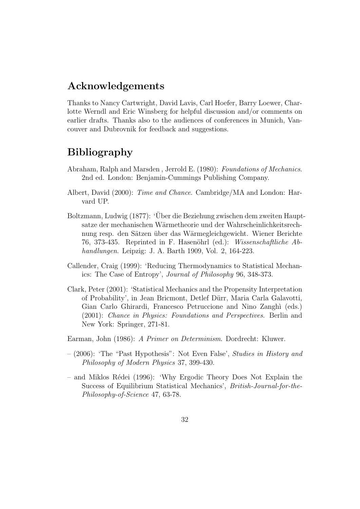## Acknowledgements

Thanks to Nancy Cartwright, David Lavis, Carl Hoefer, Barry Loewer, Charlotte Werndl and Eric Winsberg for helpful discussion and/or comments on earlier drafts. Thanks also to the audiences of conferences in Munich, Vancouver and Dubrovnik for feedback and suggestions.

## Bibliography

- Abraham, Ralph and Marsden , Jerrold E. (1980): Foundations of Mechanics. 2nd ed. London: Benjamin-Cummings Publishing Company.
- Albert, David (2000): Time and Chance. Cambridge/MA and London: Harvard UP.
- Boltzmann, Ludwig (1877): 'Über die Beziehung zwischen dem zweiten Hauptsatze der mechanischen Wärmetheorie und der Wahrscheinlichkeitsrechnung resp. den Sätzen über das Wärmegleichgewicht. Wiener Berichte 76, 373-435. Reprinted in F. Hasenöhrl (ed.): Wissenschaftliche Abhandlungen. Leipzig: J. A. Barth 1909, Vol. 2, 164-223.
- Callender, Craig (1999): 'Reducing Thermodynamics to Statistical Mechanics: The Case of Entropy', Journal of Philosophy 96, 348-373.
- Clark, Peter (2001): 'Statistical Mechanics and the Propensity Interpretation of Probability', in Jean Bricmont, Detlef D¨urr, Maria Carla Galavotti, Gian Carlo Ghirardi, Francesco Petruccione and Nino Zangh`ı (eds.) (2001): Chance in Physics: Foundations and Perspectives. Berlin and New York: Springer, 271-81.

Earman, John (1986): A Primer on Determinism. Dordrecht: Kluwer.

- $-$  (2006): 'The "Past Hypothesis": Not Even False', *Studies in History and* Philosophy of Modern Physics 37, 399-430.
- $-$  and Miklos Rédei (1996): 'Why Ergodic Theory Does Not Explain the Success of Equilibrium Statistical Mechanics', British-Journal-for-the-Philosophy-of-Science 47, 63-78.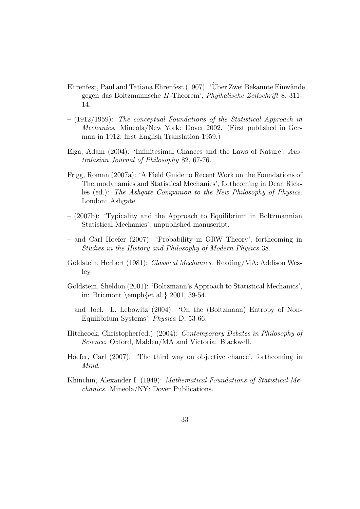- Ehrenfest, Paul and Tatiana Ehrenfest (1907): 'Über Zwei Bekannte Einwände gegen das Boltzmannsche H-Theorem', Phyikalische Zeitschrift 8, 311- 14.
- $-$  (1912/1959): The conceptual Foundations of the Statistical Approach in Mechanics. Mineola/New York: Dover 2002. (First published in German in 1912; first English Translation 1959.)
- Elga, Adam (2004): 'Infinitesimal Chances and the Laws of Nature', Australasian Journal of Philosophy 82, 67-76.
- Frigg, Roman (2007a): 'A Field Guide to Recent Work on the Foundations of Thermodynamics and Statistical Mechanics', forthcoming in Dean Rickles (ed.): The Ashgate Companion to the New Philosophy of Physics. London: Ashgate.
- (2007b): 'Typicality and the Approach to Equilibrium in Boltzmannian Statistical Mechanics', unpublished manuscript.
- and Carl Hoefer (2007): 'Probability in GRW Theory', forthcoming in Studies in the History and Philosophy of Modern Physics 38.
- Goldstein, Herbert (1981): Classical Mechanics. Reading/MA: Addison Wesley
- Goldstein, Sheldon (2001): 'Boltzmann's Approach to Statistical Mechanics', in: Bricmont \emph{et al.} 2001, 39-54.
- and Joel. L. Lebowitz (2004): 'On the (Boltzmann) Entropy of Non-Equilibrium Systems', Physica D, 53-66.
- Hitchcock, Christopher(ed.) (2004): Contemporary Debates in Philosophy of Science. Oxford, Malden/MA and Victoria: Blackwell.
- Hoefer, Carl (2007). 'The third way on objective chance', forthcoming in Mind.
- Khinchin, Alexander I. (1949): Mathematical Foundations of Statistical Mechanics. Mineola/NY: Dover Publications.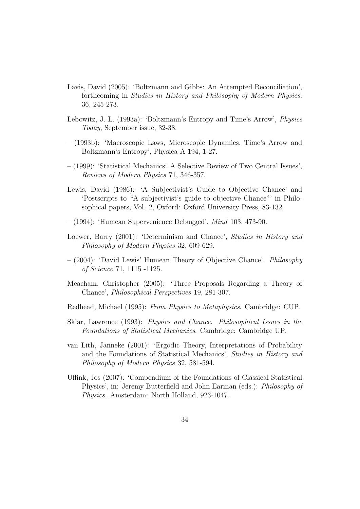- Lavis, David (2005): 'Boltzmann and Gibbs: An Attempted Reconciliation', forthcoming in Studies in History and Philosophy of Modern Physics. 36, 245-273.
- Lebowitz, J. L. (1993a): 'Boltzmann's Entropy and Time's Arrow', Physics Today, September issue, 32-38.
- (1993b): 'Macroscopic Laws, Microscopic Dynamics, Time's Arrow and Boltzmann's Entropy', Physica A 194, 1-27.
- (1999): 'Statistical Mechanics: A Selective Review of Two Central Issues', Reviews of Modern Physics 71, 346-357.
- Lewis, David (1986): 'A Subjectivist's Guide to Objective Chance' and 'Postscripts to "A subjectivist's guide to objective Chance"' in Philosophical papers, Vol. 2, Oxford: Oxford University Press, 83-132.
- $-$  (1994): 'Humean Supervenience Debugged', *Mind* 103, 473-90.
- Loewer, Barry (2001): 'Determinism and Chance', Studies in History and Philosophy of Modern Physics 32, 609-629.
- (2004): 'David Lewis' Humean Theory of Objective Chance'. Philosophy of Science 71, 1115 -1125.
- Meacham, Christopher (2005): 'Three Proposals Regarding a Theory of Chance', Philosophical Perspectives 19, 281-307.
- Redhead, Michael (1995): From Physics to Metaphysics. Cambridge: CUP.
- Sklar, Lawrence (1993): Physics and Chance. Philosophical Issues in the Foundations of Statistical Mechanics. Cambridge: Cambridge UP.
- van Lith, Janneke (2001): 'Ergodic Theory, Interpretations of Probability and the Foundations of Statistical Mechanics', Studies in History and Philosophy of Modern Physics 32, 581-594.
- Uffink, Jos (2007): 'Compendium of the Foundations of Classical Statistical Physics', in: Jeremy Butterfield and John Earman (eds.): Philosophy of Physics. Amsterdam: North Holland, 923-1047.